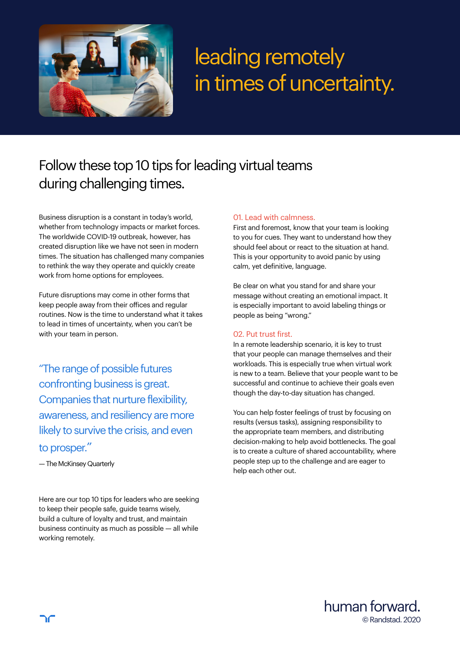

# leading remotely in times of uncertainty.

# Follow these top 10 tips for leading virtual teams during challenging times.

Business disruption is a constant in today's world, whether from technology impacts or market forces. The worldwide COVID-19 outbreak, however, has created disruption like we have not seen in modern times. The situation has challenged many companies to rethink the way they operate and quickly create work from home options for employees.

Future disruptions may come in other forms that keep people away from their offices and regular routines. Now is the time to understand what it takes to lead in times of uncertainty, when you can't be with your team in person.

"The range of possible futures confronting business is great. Companies that nurture flexibility, awareness, and resiliency are more likely to survive the crisis, and even to prosper."

— The McKinsey Quarterly

Here are our top 10 tips for leaders who are seeking to keep their people safe, guide teams wisely, build a culture of loyalty and trust, and maintain business continuity as much as possible — all while working remotely.

# 01. Lead with calmness.

First and foremost, know that your team is looking to you for cues. They want to understand how they should feel about or react to the situation at hand. This is your opportunity to avoid panic by using calm, yet definitive, language.

Be clear on what you stand for and share your message without creating an emotional impact. It is especially important to avoid labeling things or people as being "wrong."

# 02. Put trust first.

In a remote leadership scenario, it is key to trust that your people can manage themselves and their workloads. This is especially true when virtual work is new to a team. Believe that your people want to be successful and continue to achieve their goals even though the day-to-day situation has changed.

You can help foster feelings of trust by focusing on results (versus tasks), assigning responsibility to the appropriate team members, and distributing decision-making to help avoid bottlenecks. The goal is to create a culture of shared accountability, where people step up to the challenge and are eager to help each other out.

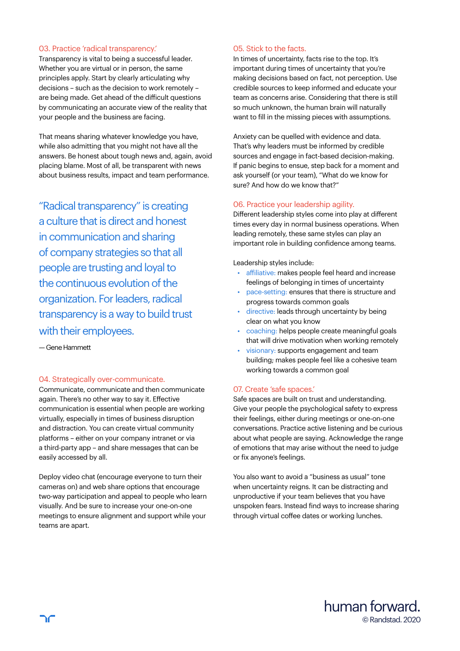### 03. Practice 'radical transparency.'

Transparency is vital to being a successful leader. Whether you are virtual or in person, the same principles apply. Start by clearly articulating why decisions – such as the decision to work remotely – are being made. Get ahead of the difficult questions by communicating an accurate view of the reality that your people and the business are facing.

That means sharing whatever knowledge you have, while also admitting that you might not have all the answers. Be honest about tough news and, again, avoid placing blame. Most of all, be transparent with news about business results, impact and team performance.

"Radical transparency" is creating a culture that is direct and honest in communication and sharing of company strategies so that all people are trusting and loyal to the continuous evolution of the organization. For leaders, radical transparency is a way to build trust with their employees.

— Gene Hammett

#### 04. Strategically over-communicate.

Communicate, communicate and then communicate again. There's no other way to say it. Effective communication is essential when people are working virtually, especially in times of business disruption and distraction. You can create virtual community platforms – either on your company intranet or via a third-party app – and share messages that can be easily accessed by all.

Deploy video chat (encourage everyone to turn their cameras on) and web share options that encourage two-way participation and appeal to people who learn visually. And be sure to increase your one-on-one meetings to ensure alignment and support while your teams are apart.

### 05. Stick to the facts.

In times of uncertainty, facts rise to the top. It's important during times of uncertainty that you're making decisions based on fact, not perception. Use credible sources to keep informed and educate your team as concerns arise. Considering that there is still so much unknown, the human brain will naturally want to fill in the missing pieces with assumptions.

Anxiety can be quelled with evidence and data. That's why leaders must be informed by credible sources and engage in fact-based decision-making. If panic begins to ensue, step back for a moment and ask yourself (or your team), "What do we know for sure? And how do we know that?"

# 06. Practice your leadership agility.

Different leadership styles come into play at different times every day in normal business operations. When leading remotely, these same styles can play an important role in building confidence among teams.

Leadership styles include:

- affiliative: makes people feel heard and increase feelings of belonging in times of uncertainty
- pace-setting: ensures that there is structure and progress towards common goals
- directive: leads through uncertainty by being clear on what you know
- coaching: helps people create meaningful goals that will drive motivation when working remotely
- visionary: supports engagement and team building; makes people feel like a cohesive team working towards a common goal

#### 07. Create 'safe spaces.'

Safe spaces are built on trust and understanding. Give your people the psychological safety to express their feelings, either during meetings or one-on-one conversations. Practice active listening and be curious about what people are saying. Acknowledge the range of emotions that may arise without the need to judge or fix anyone's feelings.

You also want to avoid a "business as usual" tone when uncertainty reigns. It can be distracting and unproductive if your team believes that you have unspoken fears. Instead find ways to increase sharing through virtual coffee dates or working lunches.